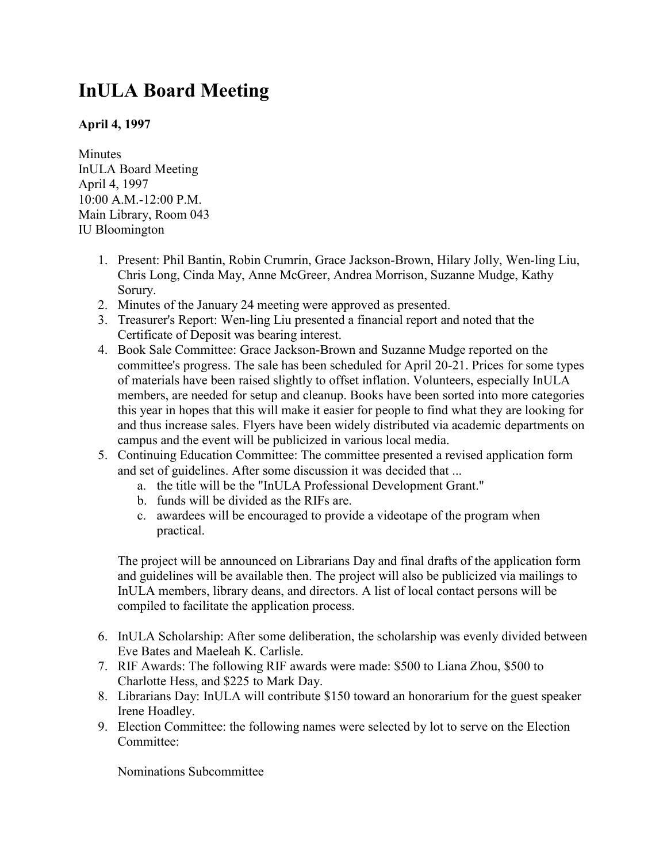## **InULA Board Meeting**

## **April 4, 1997**

Minutes InULA Board Meeting April 4, 1997 10:00 A.M.-12:00 P.M. Main Library, Room 043 IU Bloomington

- 1. Present: Phil Bantin, Robin Crumrin, Grace Jackson-Brown, Hilary Jolly, Wen-ling Liu, Chris Long, Cinda May, Anne McGreer, Andrea Morrison, Suzanne Mudge, Kathy Sorury.
- 2. Minutes of the January 24 meeting were approved as presented.
- 3. Treasurer's Report: Wen-ling Liu presented a financial report and noted that the Certificate of Deposit was bearing interest.
- 4. Book Sale Committee: Grace Jackson-Brown and Suzanne Mudge reported on the committee's progress. The sale has been scheduled for April 20-21. Prices for some types of materials have been raised slightly to offset inflation. Volunteers, especially InULA members, are needed for setup and cleanup. Books have been sorted into more categories this year in hopes that this will make it easier for people to find what they are looking for and thus increase sales. Flyers have been widely distributed via academic departments on campus and the event will be publicized in various local media.
- 5. Continuing Education Committee: The committee presented a revised application form and set of guidelines. After some discussion it was decided that ...
	- a. the title will be the "InULA Professional Development Grant."
	- b. funds will be divided as the RIFs are.
	- c. awardees will be encouraged to provide a videotape of the program when practical.

The project will be announced on Librarians Day and final drafts of the application form and guidelines will be available then. The project will also be publicized via mailings to InULA members, library deans, and directors. A list of local contact persons will be compiled to facilitate the application process.

- 6. InULA Scholarship: After some deliberation, the scholarship was evenly divided between Eve Bates and Maeleah K. Carlisle.
- 7. RIF Awards: The following RIF awards were made: \$500 to Liana Zhou, \$500 to Charlotte Hess, and \$225 to Mark Day.
- 8. Librarians Day: InULA will contribute \$150 toward an honorarium for the guest speaker Irene Hoadley.
- 9. Election Committee: the following names were selected by lot to serve on the Election Committee:

Nominations Subcommittee